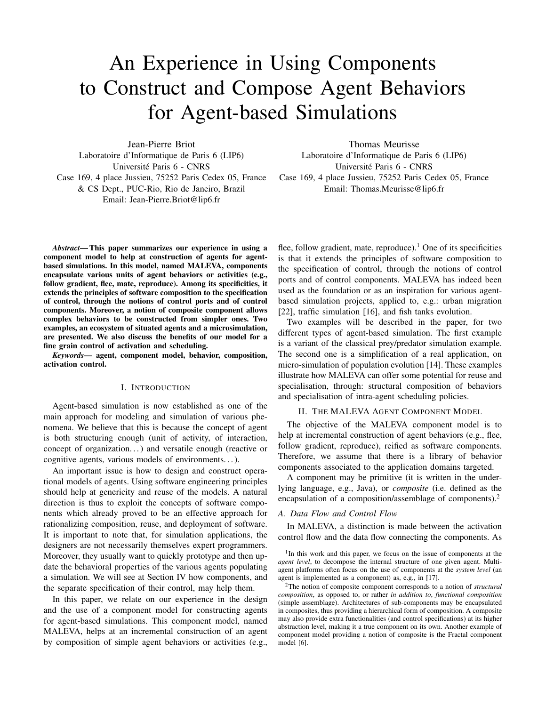# An Experience in Using Components to Construct and Compose Agent Behaviors for Agent-based Simulations

Jean-Pierre Briot Laboratoire d'Informatique de Paris 6 (LIP6) Université Paris 6 - CNRS Case 169, 4 place Jussieu, 75252 Paris Cedex 05, France & CS Dept., PUC-Rio, Rio de Janeiro, Brazil Email: Jean-Pierre.Briot@lip6.fr

Thomas Meurisse Laboratoire d'Informatique de Paris 6 (LIP6) Université Paris 6 - CNRS Case 169, 4 place Jussieu, 75252 Paris Cedex 05, France Email: Thomas.Meurisse@lip6.fr

*Abstract*— This paper summarizes our experience in using a component model to help at construction of agents for agentbased simulations. In this model, named MALEVA, components encapsulate various units of agent behaviors or activities (e.g., follow gradient, flee, mate, reproduce). Among its specificities, it extends the principles of software composition to the specification of control, through the notions of control ports and of control components. Moreover, a notion of composite component allows complex behaviors to be constructed from simpler ones. Two examples, an ecosystem of situated agents and a microsimulation, are presented. We also discuss the benefits of our model for a fine grain control of activation and scheduling.

*Keywords—* agent, component model, behavior, composition, activation control.

#### I. INTRODUCTION

Agent-based simulation is now established as one of the main approach for modeling and simulation of various phenomena. We believe that this is because the concept of agent is both structuring enough (unit of activity, of interaction, concept of organization. . . ) and versatile enough (reactive or cognitive agents, various models of environments. . . ).

An important issue is how to design and construct operational models of agents. Using software engineering principles should help at genericity and reuse of the models. A natural direction is thus to exploit the concepts of software components which already proved to be an effective approach for rationalizing composition, reuse, and deployment of software. It is important to note that, for simulation applications, the designers are not necessarily themselves expert programmers. Moreover, they usually want to quickly prototype and then update the behavioral properties of the various agents populating a simulation. We will see at Section IV how components, and the separate specification of their control, may help them.

In this paper, we relate on our experience in the design and the use of a component model for constructing agents for agent-based simulations. This component model, named MALEVA, helps at an incremental construction of an agent by composition of simple agent behaviors or activities (e.g.,

flee, follow gradient, mate, reproduce).<sup>1</sup> One of its specificities is that it extends the principles of software composition to the specification of control, through the notions of control ports and of control components. MALEVA has indeed been used as the foundation or as an inspiration for various agentbased simulation projects, applied to, e.g.: urban migration [22], traffic simulation [16], and fish tanks evolution.

Two examples will be described in the paper, for two different types of agent-based simulation. The first example is a variant of the classical prey/predator simulation example. The second one is a simplification of a real application, on micro-simulation of population evolution [14]. These examples illustrate how MALEVA can offer some potential for reuse and specialisation, through: structural composition of behaviors and specialisation of intra-agent scheduling policies.

# II. THE MALEVA AGENT COMPONENT MODEL

The objective of the MALEVA component model is to help at incremental construction of agent behaviors (e.g., flee, follow gradient, reproduce), reified as software components. Therefore, we assume that there is a library of behavior components associated to the application domains targeted.

A component may be primitive (it is written in the underlying language, e.g., Java), or *composite* (i.e. defined as the encapsulation of a composition/assemblage of components).<sup>2</sup>

### *A. Data Flow and Control Flow*

In MALEVA, a distinction is made between the activation control flow and the data flow connecting the components. As

<sup>2</sup>The notion of composite component corresponds to a notion of *structural composition*, as opposed to, or rather *in addition to*, *functional composition* (simple assemblage). Architectures of sub-components may be encapsulated in composites, thus providing a hierarchical form of composition. A composite may also provide extra functionalities (and control specifications) at its higher abstraction level, making it a true component on its own. Another example of component model providing a notion of composite is the Fractal component model [6].

<sup>&</sup>lt;sup>1</sup>In this work and this paper, we focus on the issue of components at the *agent level*, to decompose the internal structure of one given agent. Multiagent platforms often focus on the use of components at the *system level* (an agent is implemented as a component) as, e.g., in [17].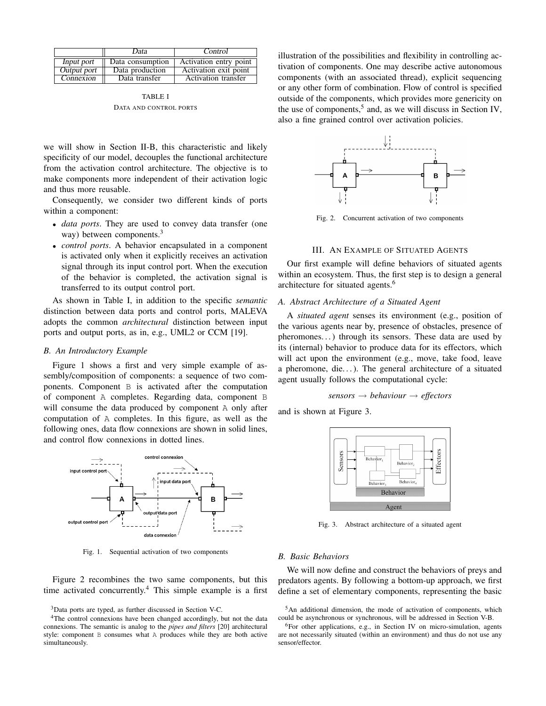|             | Data             | Control                |
|-------------|------------------|------------------------|
| Input port  | Data consumption | Activation entry point |
| Output port | Data production  | Activation exit point  |
| Connexion   | Data transfer    | Activation transfer    |

TABLE I DATA AND CONTROL PORTS

we will show in Section II-B, this characteristic and likely specificity of our model, decouples the functional architecture from the activation control architecture. The objective is to make components more independent of their activation logic and thus more reusable.

Consequently, we consider two different kinds of ports within a component:

- *data ports*. They are used to convey data transfer (one way) between components.<sup>3</sup>
- *control ports*. A behavior encapsulated in a component is activated only when it explicitly receives an activation signal through its input control port. When the execution of the behavior is completed, the activation signal is transferred to its output control port.

As shown in Table I, in addition to the specific *semantic* distinction between data ports and control ports, MALEVA adopts the common *architectural* distinction between input ports and output ports, as in, e.g., UML2 or CCM [19].

# *B. An Introductory Example*

Figure 1 shows a first and very simple example of assembly/composition of components: a sequence of two components. Component B is activated after the computation of component A completes. Regarding data, component B will consume the data produced by component A only after computation of A completes. In this figure, as well as the following ones, data flow connexions are shown in solid lines, and control flow connexions in dotted lines.



Fig. 1. Sequential activation of two components

Figure 2 recombines the two same components, but this time activated concurrently.<sup>4</sup> This simple example is a first

<sup>3</sup>Data ports are typed, as further discussed in Section V-C.

illustration of the possibilities and flexibility in controlling activation of components. One may describe active autonomous components (with an associated thread), explicit sequencing or any other form of combination. Flow of control is specified outside of the components, which provides more genericity on the use of components,<sup>5</sup> and, as we will discuss in Section IV, also a fine grained control over activation policies.



Fig. 2. Concurrent activation of two components

# III. AN EXAMPLE OF SITUATED AGENTS

Our first example will define behaviors of situated agents within an ecosystem. Thus, the first step is to design a general architecture for situated agents.<sup>6</sup>

# *A. Abstract Architecture of a Situated Agent*

A *situated agent* senses its environment (e.g., position of the various agents near by, presence of obstacles, presence of pheromones. . . ) through its sensors. These data are used by its (internal) behavior to produce data for its effectors, which will act upon the environment (e.g., move, take food, leave a pheromone, die...). The general architecture of a situated agent usually follows the computational cycle:

*sensors* → *behaviour* → *effectors*

and is shown at Figure 3.



Fig. 3. Abstract architecture of a situated agent

### *B. Basic Behaviors*

We will now define and construct the behaviors of preys and predators agents. By following a bottom-up approach, we first define a set of elementary components, representing the basic

<sup>&</sup>lt;sup>4</sup>The control connexions have been changed accordingly, but not the data connexions. The semantic is analog to the *pipes and filters* [20] architectural style: component B consumes what A produces while they are both active simultaneously.

 $5$ An additional dimension, the mode of activation of components, which could be asynchronous or synchronous, will be addressed in Section V-B.

<sup>&</sup>lt;sup>6</sup>For other applications, e.g., in Section IV on micro-simulation, agents are not necessarily situated (within an environment) and thus do not use any sensor/effector.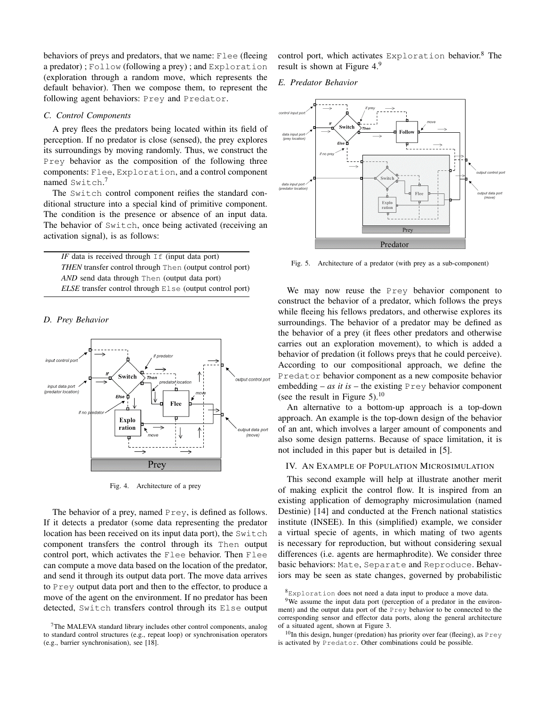behaviors of preys and predators, that we name: Flee (fleeing) a predator) ; Follow (following a prey) ; and Exploration (exploration through a random move, which represents the default behavior). Then we compose them, to represent the following agent behaviors: Prey and Predator.

# *C. Control Components*

A prey flees the predators being located within its field of perception. If no predator is close (sensed), the prey explores its surroundings by moving randomly. Thus, we construct the Prey behavior as the composition of the following three components: Flee, Exploration, and a control component named Switch. 7

The Switch control component reifies the standard conditional structure into a special kind of primitive component. The condition is the presence or absence of an input data. The behavior of Switch, once being activated (receiving an activation signal), is as follows:

*IF* data is received through  $If$  (input data port) *THEN* transfer control through Then (output control port) *AND* send data through Then (output data port) *ELSE* transfer control through Else (output control port)

# *D. Prey Behavior*



Fig. 4. Architecture of a prey

The behavior of a prey, named Prey, is defined as follows. If it detects a predator (some data representing the predator location has been received on its input data port), the Switch component transfers the control through its Then output control port, which activates the Flee behavior. Then Flee can compute a move data based on the location of the predator, and send it through its output data port. The move data arrives to Prey output data port and then to the effector, to produce a move of the agent on the environment. If no predator has been detected, Switch transfers control through its Else output control port, which activates  $Explocation$  behavior.<sup>8</sup> The result is shown at Figure 4.9

*E. Predator Behavior*



Fig. 5. Architecture of a predator (with prey as a sub-component)

We may now reuse the Prey behavior component to construct the behavior of a predator, which follows the preys while fleeing his fellows predators, and otherwise explores its surroundings. The behavior of a predator may be defined as the behavior of a prey (it flees other predators and otherwise carries out an exploration movement), to which is added a behavior of predation (it follows preys that he could perceive). According to our compositional approach, we define the Predator behavior component as a new composite behavior embedding – *as it is* – the existing  $P$  rey behavior component (see the result in Figure 5).<sup>10</sup>

An alternative to a bottom-up approach is a top-down approach. An example is the top-down design of the behavior of an ant, which involves a larger amount of components and also some design patterns. Because of space limitation, it is not included in this paper but is detailed in [5].

## IV. AN EXAMPLE OF POPULATION MICROSIMULATION

This second example will help at illustrate another merit of making explicit the control flow. It is inspired from an existing application of demography microsimulation (named Destinie) [14] and conducted at the French national statistics institute (INSEE). In this (simplified) example, we consider a virtual specie of agents, in which mating of two agents is necessary for reproduction, but without considering sexual differences (i.e. agents are hermaphrodite). We consider three basic behaviors: Mate, Separate and Reproduce. Behaviors may be seen as state changes, governed by probabilistic

<sup>7</sup>The MALEVA standard library includes other control components, analog to standard control structures (e.g., repeat loop) or synchronisation operators (e.g., barrier synchronisation), see [18].

 $8$ Exploration does not need a data input to produce a move data.

<sup>&</sup>lt;sup>9</sup>We assume the input data port (perception of a predator in the environment) and the output data port of the Prey behavior to be connected to the corresponding sensor and effector data ports, along the general architecture of a situated agent, shown at Figure 3.

 $10$ In this design, hunger (predation) has priority over fear (fleeing), as Prey is activated by Predator. Other combinations could be possible.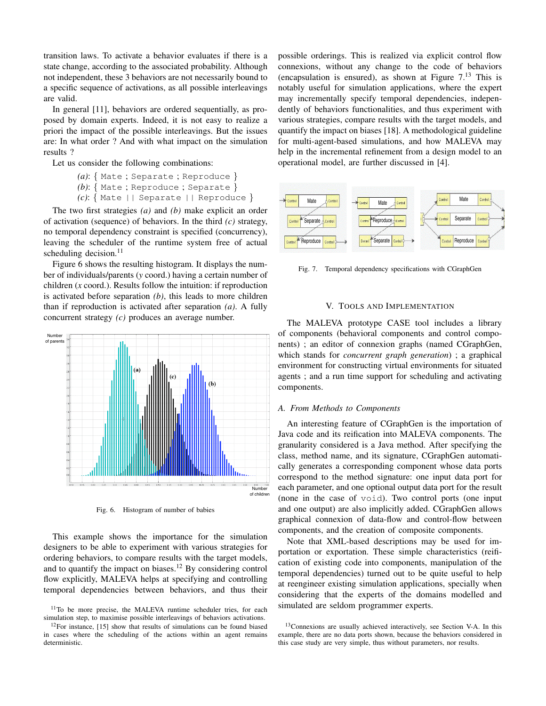transition laws. To activate a behavior evaluates if there is a state change, according to the associated probability. Although not independent, these 3 behaviors are not necessarily bound to a specific sequence of activations, as all possible interleavings are valid.

In general [11], behaviors are ordered sequentially, as proposed by domain experts. Indeed, it is not easy to realize a priori the impact of the possible interleavings. But the issues are: In what order ? And with what impact on the simulation results ?

Let us consider the following combinations:

```
(a): { Mate ; Separate ; Reproduce }
(b): { Mate ; Reproduce ; Separate }
(c): { Mate || Separate || Reproduce }
```
The two first strategies *(a)* and *(b)* make explicit an order of activation (sequence) of behaviors. In the third *(c)* strategy, no temporal dependency constraint is specified (concurrency), leaving the scheduler of the runtime system free of actual scheduling decision. $^{11}$ 

Figure 6 shows the resulting histogram. It displays the number of individuals/parents (*y* coord.) having a certain number of children (*x* coord.). Results follow the intuition: if reproduction is activated before separation *(b)*, this leads to more children than if reproduction is activated after separation *(a)*. A fully concurrent strategy *(c)* produces an average number.



Fig. 6. Histogram of number of babies

This example shows the importance for the simulation designers to be able to experiment with various strategies for ordering behaviors, to compare results with the target models, and to quantify the impact on biases.<sup>12</sup> By considering control flow explicitly, MALEVA helps at specifying and controlling temporal dependencies between behaviors, and thus their possible orderings. This is realized via explicit control flow connexions, without any change to the code of behaviors (encapsulation is ensured), as shown at Figure  $7<sup>13</sup>$  This is notably useful for simulation applications, where the expert may incrementally specify temporal dependencies, independently of behaviors functionalities, and thus experiment with various strategies, compare results with the target models, and quantify the impact on biases [18]. A methodological guideline for multi-agent-based simulations, and how MALEVA may help in the incremental refinement from a design model to an operational model, are further discussed in [4].



Fig. 7. Temporal dependency specifications with CGraphGen

#### V. TOOLS AND IMPLEMENTATION

The MALEVA prototype CASE tool includes a library of components (behavioral components and control components) ; an editor of connexion graphs (named CGraphGen, which stands for *concurrent graph generation*) ; a graphical environment for constructing virtual environments for situated agents ; and a run time support for scheduling and activating components.

## *A. From Methods to Components*

An interesting feature of CGraphGen is the importation of Java code and its reification into MALEVA components. The granularity considered is a Java method. After specifying the class, method name, and its signature, CGraphGen automatically generates a corresponding component whose data ports correspond to the method signature: one input data port for each parameter, and one optional output data port for the result (none in the case of void). Two control ports (one input and one output) are also implicitly added. CGraphGen allows graphical connexion of data-flow and control-flow between components, and the creation of composite components.

Note that XML-based descriptions may be used for importation or exportation. These simple characteristics (reification of existing code into components, manipulation of the temporal dependencies) turned out to be quite useful to help at reengineer existing simulation applications, specially when considering that the experts of the domains modelled and simulated are seldom programmer experts.

<sup>&</sup>lt;sup>11</sup>To be more precise, the MALEVA runtime scheduler tries, for each simulation step, to maximise possible interleavings of behaviors activations.

 $12$ For instance, [15] show that results of simulations can be found biased in cases where the scheduling of the actions within an agent remains deterministic.

<sup>&</sup>lt;sup>13</sup>Connexions are usually achieved interactively, see Section V-A. In this example, there are no data ports shown, because the behaviors considered in this case study are very simple, thus without parameters, nor results.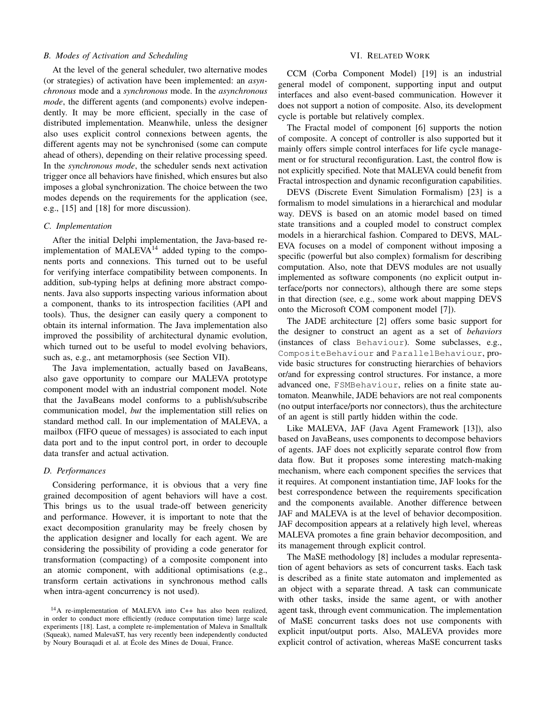## *B. Modes of Activation and Scheduling*

At the level of the general scheduler, two alternative modes (or strategies) of activation have been implemented: an *asynchronous* mode and a *synchronous* mode. In the *asynchronous mode*, the different agents (and components) evolve independently. It may be more efficient, specially in the case of distributed implementation. Meanwhile, unless the designer also uses explicit control connexions between agents, the different agents may not be synchronised (some can compute ahead of others), depending on their relative processing speed. In the *synchronous mode*, the scheduler sends next activation trigger once all behaviors have finished, which ensures but also imposes a global synchronization. The choice between the two modes depends on the requirements for the application (see, e.g., [15] and [18] for more discussion).

#### *C. Implementation*

After the initial Delphi implementation, the Java-based reimplementation of MALEVA $^{14}$  added typing to the components ports and connexions. This turned out to be useful for verifying interface compatibility between components. In addition, sub-typing helps at defining more abstract components. Java also supports inspecting various information about a component, thanks to its introspection facilities (API and tools). Thus, the designer can easily query a component to obtain its internal information. The Java implementation also improved the possibility of architectural dynamic evolution, which turned out to be useful to model evolving behaviors, such as, e.g., ant metamorphosis (see Section VII).

The Java implementation, actually based on JavaBeans, also gave opportunity to compare our MALEVA prototype component model with an industrial component model. Note that the JavaBeans model conforms to a publish/subscribe communication model, *but* the implementation still relies on standard method call. In our implementation of MALEVA, a mailbox (FIFO queue of messages) is associated to each input data port and to the input control port, in order to decouple data transfer and actual activation.

# *D. Performances*

Considering performance, it is obvious that a very fine grained decomposition of agent behaviors will have a cost. This brings us to the usual trade-off between genericity and performance. However, it is important to note that the exact decomposition granularity may be freely chosen by the application designer and locally for each agent. We are considering the possibility of providing a code generator for transformation (compacting) of a composite component into an atomic component, with additional optimisations (e.g., transform certain activations in synchronous method calls when intra-agent concurrency is not used).

#### VI. RELATED WORK

CCM (Corba Component Model) [19] is an industrial general model of component, supporting input and output interfaces and also event-based communication. However it does not support a notion of composite. Also, its development cycle is portable but relatively complex.

The Fractal model of component [6] supports the notion of composite. A concept of controller is also supported but it mainly offers simple control interfaces for life cycle management or for structural reconfiguration. Last, the control flow is not explicitly specified. Note that MALEVA could benefit from Fractal introspection and dynamic reconfiguration capabilities.

DEVS (Discrete Event Simulation Formalism) [23] is a formalism to model simulations in a hierarchical and modular way. DEVS is based on an atomic model based on timed state transitions and a coupled model to construct complex models in a hierarchical fashion. Compared to DEVS, MAL-EVA focuses on a model of component without imposing a specific (powerful but also complex) formalism for describing computation. Also, note that DEVS modules are not usually implemented as software components (no explicit output interface/ports nor connectors), although there are some steps in that direction (see, e.g., some work about mapping DEVS onto the Microsoft COM component model [7]).

The JADE architecture [2] offers some basic support for the designer to construct an agent as a set of *behaviors* (instances of class Behaviour). Some subclasses, e.g., CompositeBehaviour and ParallelBehaviour, provide basic structures for constructing hierarchies of behaviors or/and for expressing control structures. For instance, a more advanced one, FSMBehaviour, relies on a finite state automaton. Meanwhile, JADE behaviors are not real components (no output interface/ports nor connectors), thus the architecture of an agent is still partly hidden within the code.

Like MALEVA, JAF (Java Agent Framework [13]), also based on JavaBeans, uses components to decompose behaviors of agents. JAF does not explicitly separate control flow from data flow. But it proposes some interesting match-making mechanism, where each component specifies the services that it requires. At component instantiation time, JAF looks for the best correspondence between the requirements specification and the components available. Another difference between JAF and MALEVA is at the level of behavior decomposition. JAF decomposition appears at a relatively high level, whereas MALEVA promotes a fine grain behavior decomposition, and its management through explicit control.

The MaSE methodology [8] includes a modular representation of agent behaviors as sets of concurrent tasks. Each task is described as a finite state automaton and implemented as an object with a separate thread. A task can communicate with other tasks, inside the same agent, or with another agent task, through event communication. The implementation of MaSE concurrent tasks does not use components with explicit input/output ports. Also, MALEVA provides more explicit control of activation, whereas MaSE concurrent tasks

<sup>14</sup>A re-implementation of MALEVA into C++ has also been realized, in order to conduct more efficiently (reduce computation time) large scale experiments [18]. Last, a complete re-implementation of Maleva in Smalltalk (Squeak), named MalevaST, has very recently been independently conducted by Noury Bouraqadi et al. at Ecole des Mines de Douai, France. ´